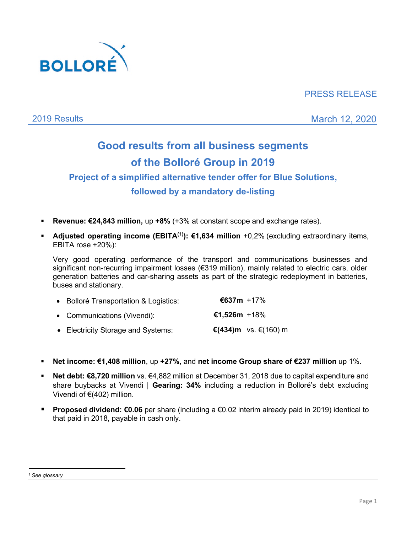

## PRESS RELEASE

2019 Results March 12, 2020

# **Good results from all business segments of the Bolloré Group in 2019**

# **Project of a simplified alternative tender offer for Blue Solutions, followed by a mandatory de-listing**

- **Revenue: €24,843 million,** up **+8%** (+3% at constant scope and exchange rates).
- **Adjusted operating income (EBITA<sup>([1](#page-0-0))</sup>): €1,634 million** +0,2% (excluding extraordinary items, EBITA rose +20%):

Very good operating performance of the transport and communications businesses and significant non-recurring impairment losses (€319 million), mainly related to electric cars, older generation batteries and car-sharing assets as part of the strategic redeployment in batteries, buses and stationary.

| • Bolloré Transportation & Logistics: | €637m +17%   |                      |
|---------------------------------------|--------------|----------------------|
| • Communications (Vivendi):           | €1,526m +18% |                      |
| • Electricity Storage and Systems:    |              | €(434)m vs. €(160) m |

- **Net income: €1,408 million**, up **+27%,** and **net income Group share of €237 million** up 1%.
- **Net debt: €8,720 million** vs. €4,882 million at December 31, 2018 due to capital expenditure and share buybacks at Vivendi | **Gearing: 34%** including a reduction in Bolloré's debt excluding Vivendi of €(402) million.
- **Proposed dividend: €0.06** per share (including a €0.02 interim already paid in 2019) identical to that paid in 2018, payable in cash only.

<span id="page-0-0"></span><sup>1</sup> *See glossary*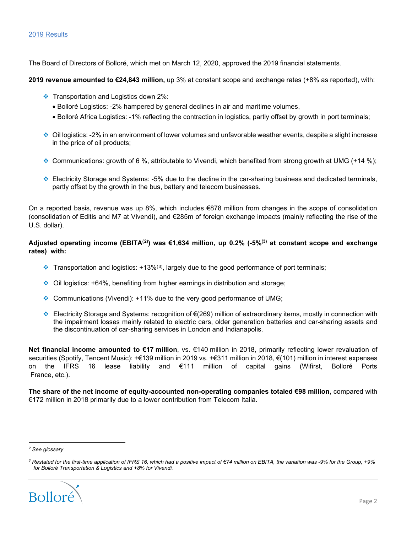#### 2019 Results

The Board of Directors of Bolloré, which met on March 12, 2020, approved the 2019 financial statements.

**2019 revenue amounted to €24,843 million,** up 3% at constant scope and exchange rates (+8% as reported), with:

- Transportation and Logistics down 2%:
	- Bolloré Logistics: -2% hampered by general declines in air and maritime volumes,
	- Bolloré Africa Logistics: -1% reflecting the contraction in logistics, partly offset by growth in port terminals;
- $\bullet$  Oil logistics: -2% in an environment of lower volumes and unfavorable weather events, despite a slight increase in the price of oil products;
- $\bullet$  Communications: growth of 6 %, attributable to Vivendi, which benefited from strong growth at UMG (+14 %);
- Electricity Storage and Systems: -5% due to the decline in the car-sharing business and dedicated terminals, partly offset by the growth in the bus, battery and telecom businesses.

On a reported basis, revenue was up 8%, which includes €878 million from changes in the scope of consolidation (consolidation of Editis and M7 at Vivendi), and €285m of foreign exchange impacts (mainly reflecting the rise of the U.S. dollar).

#### **Adjusted operating income (EBITA([2](#page-1-0)) ) was €1,634 million, up 0.2% (-5%(3) at constant scope and exchange rates) with:**

- $\clubsuit$  Transportation and logistics: +1[3](#page-1-1)%<sup>(3)</sup>, largely due to the good performance of port terminals;
- $\div$  Oil logistics: +64%, benefiting from higher earnings in distribution and storage;
- **Communications (Vivendi): +11% due to the very good performance of UMG;**
- Electricity Storage and Systems: recognition of €(269) million of extraordinary items, mostly in connection with the impairment losses mainly related to electric cars, older generation batteries and car-sharing assets and the discontinuation of car-sharing services in London and Indianapolis.

**Net financial income amounted to €17 million**, vs. €140 million in 2018, primarily reflecting lower revaluation of securities (Spotify, Tencent Music): +€139 million in 2019 vs. +€311 million in 2018, €(101) million in interest expenses on the IFRS 16 lease liability and €111 million of capital gains (Wifirst, Bolloré Ports France, etc.).

**The share of the net income of equity-accounted non-operating companies totaled €98 million,** compared with €172 million in 2018 primarily due to a lower contribution from Telecom Italia.

<span id="page-1-1"></span><span id="page-1-0"></span>*<sup>3</sup> Restated for the first-time application of IFRS 16, which had a positive impact of €74 million on EBITA, the variation was -9% for the Group, +9% for Bolloré Transportation & Logistics and +8% for Vivendi.*



*<sup>2</sup> See glossary*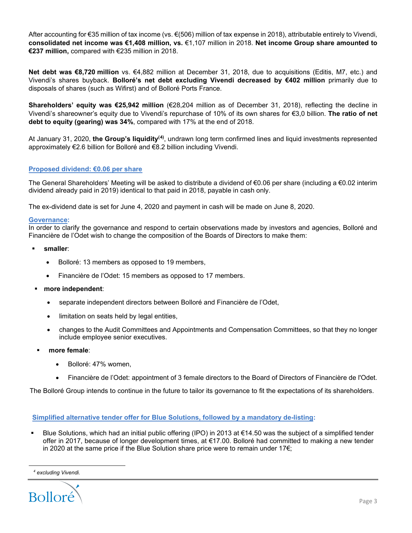After accounting for €35 million of tax income (vs. €(506) million of tax expense in 2018), attributable entirely to Vivendi, **consolidated net income was €1,408 million, vs.** €1,107 million in 2018. **Net income Group share amounted to €237 million,** compared with €235 million in 2018.

**Net debt was €8,720 million** vs. €4,882 million at December 31, 2018, due to acquisitions (Editis, M7, etc.) and Vivendi's shares buyback. **Bolloré's net debt excluding Vivendi decreased by €402 million** primarily due to disposals of shares (such as Wifirst) and of Bolloré Ports France.

**Shareholders' equity was €25,942 million** (€28,204 million as of December 31, 2018), reflecting the decline in Vivendi's shareowner's equity due to Vivendi's repurchase of 10% of its own shares for €3,0 billion. **The ratio of net debt to equity (gearing) was 34%**, compared with 17% at the end of 2018.

At January 31, 2020, **the Group's liquidity<sup>([4\)](#page-2-0)</sup>,** undrawn long term confirmed lines and liquid investments represented approximately €2.6 billion for Bolloré and €8.2 billion including Vivendi.

#### **Proposed dividend: €0.06 per share**

The General Shareholders' Meeting will be asked to distribute a dividend of €0.06 per share (including a €0.02 interim dividend already paid in 2019) identical to that paid in 2018, payable in cash only.

The ex-dividend date is set for June 4, 2020 and payment in cash will be made on June 8, 2020.

#### **Governance:**

In order to clarify the governance and respond to certain observations made by investors and agencies, Bolloré and Financière de l'Odet wish to change the composition of the Boards of Directors to make them:

- **smaller**:
	- Bolloré: 13 members as opposed to 19 members,
	- Financière de l'Odet: 15 members as opposed to 17 members.
- **more independent**:
	- separate independent directors between Bolloré and Financière de l'Odet,
	- limitation on seats held by legal entities,
	- changes to the Audit Committees and Appointments and Compensation Committees, so that they no longer include employee senior executives.
- **more female**:
	- Bolloré: 47% women,
	- Financière de l'Odet: appointment of 3 female directors to the Board of Directors of Financière de l'Odet.

The Bolloré Group intends to continue in the future to tailor its governance to fit the expectations of its shareholders.

#### **Simplified alternative tender offer for Blue Solutions, followed by a mandatory de-listing:**

 Blue Solutions, which had an initial public offering (IPO) in 2013 at €14.50 was the subject of a simplified tender offer in 2017, because of longer development times, at €17.00. Bolloré had committed to making a new tender in 2020 at the same price if the Blue Solution share price were to remain under 17 $\epsilon$ ;

*<sup>4</sup> excluding Vivendi.* 

<span id="page-2-0"></span>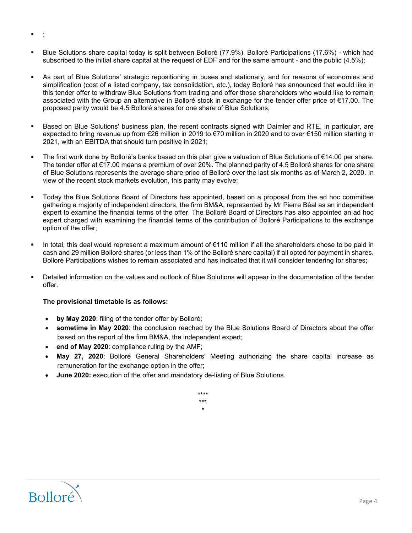- Blue Solutions share capital today is split between Bolloré (77.9%), Bolloré Participations (17.6%) which had subscribed to the initial share capital at the request of EDF and for the same amount - and the public (4.5%);
- As part of Blue Solutions' strategic repositioning in buses and stationary, and for reasons of economies and simplification (cost of a listed company, tax consolidation, etc.), today Bolloré has announced that would like in this tender offer to withdraw Blue Solutions from trading and offer those shareholders who would like to remain associated with the Group an alternative in Bolloré stock in exchange for the tender offer price of €17.00. The proposed parity would be 4.5 Bolloré shares for one share of Blue Solutions;
- Based on Blue Solutions' business plan, the recent contracts signed with Daimler and RTE, in particular, are expected to bring revenue up from €26 million in 2019 to €70 million in 2020 and to over €150 million starting in 2021, with an EBITDA that should turn positive in 2021;
- The first work done by Bolloré's banks based on this plan give a valuation of Blue Solutions of €14.00 per share. The tender offer at €17.00 means a premium of over 20%. The planned parity of 4.5 Bolloré shares for one share of Blue Solutions represents the average share price of Bolloré over the last six months as of March 2, 2020. In view of the recent stock markets evolution, this parity may evolve;
- Today the Blue Solutions Board of Directors has appointed, based on a proposal from the ad hoc committee gathering a majority of independent directors, the firm BM&A, represented by Mr Pierre Béal as an independent expert to examine the financial terms of the offer. The Bolloré Board of Directors has also appointed an ad hoc expert charged with examining the financial terms of the contribution of Bolloré Participations to the exchange option of the offer;
- In total, this deal would represent a maximum amount of €110 million if all the shareholders chose to be paid in cash and 29 million Bolloré shares (or less than 1% of the Bolloré share capital) if all opted for payment in shares. Bolloré Participations wishes to remain associated and has indicated that it will consider tendering for shares;
- Detailed information on the values and outlook of Blue Solutions will appear in the documentation of the tender offer.

#### **The provisional timetable is as follows:**

- **by May 2020**: filing of the tender offer by Bolloré;
- **sometime in May 2020**: the conclusion reached by the Blue Solutions Board of Directors about the offer based on the report of the firm BM&A, the independent expert;
- **end of May 2020**: compliance ruling by the AMF;
- **May 27, 2020**: Bolloré General Shareholders' Meeting authorizing the share capital increase as remuneration for the exchange option in the offer;
- **June 2020:** execution of the offer and mandatory de-listing of Blue Solutions.





 $\blacksquare$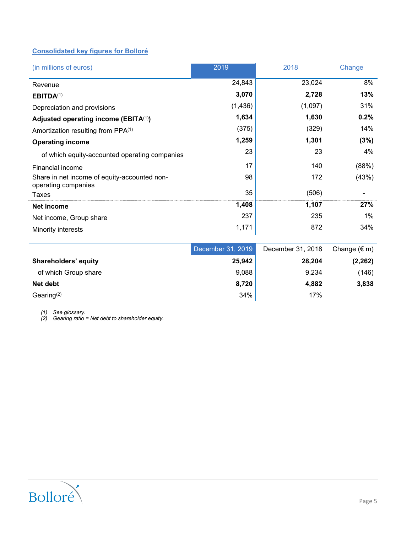### **Consolidated key figures for Bolloré**

| (in millions of euros)                                              | 2019     | 2018    | Change |
|---------------------------------------------------------------------|----------|---------|--------|
| Revenue                                                             | 24,843   | 23,024  | 8%     |
| EBITDA <sup>(1)</sup>                                               | 3,070    | 2,728   | 13%    |
| Depreciation and provisions                                         | (1, 436) | (1,097) | 31%    |
| Adjusted operating income (EBITA $(1)$ )                            | 1,634    | 1,630   | 0.2%   |
| Amortization resulting from PPA <sup>(1)</sup>                      | (375)    | (329)   | 14%    |
| <b>Operating income</b>                                             | 1,259    | 1,301   | (3%)   |
| of which equity-accounted operating companies                       | 23       | 23      | 4%     |
| Financial income                                                    | 17       | 140     | (88%)  |
| Share in net income of equity-accounted non-<br>operating companies | 98       | 172     | (43%)  |
| Taxes                                                               | 35       | (506)   |        |
| Net income                                                          | 1,408    | 1,107   | 27%    |
| Net income, Group share                                             | 237      | 235     | $1\%$  |
| Minority interests                                                  | 1,171    | 872     | 34%    |

|                             | December 31, 2019 | December 31, 2018 | Change $(\epsilon m)$ |
|-----------------------------|-------------------|-------------------|-----------------------|
| <b>Shareholders' equity</b> | 25,942            | 28,204            | (2, 262)              |
| of which Group share        | 9,088             | 9.234             | (146)                 |
| Net debt                    | 8,720             | 4.882             | 3,838                 |
| Gearing $(2)$               | 34%               | 17%               |                       |

*(1) See glossary.*

*(2) Gearing ratio = Net debt to shareholder equity.*

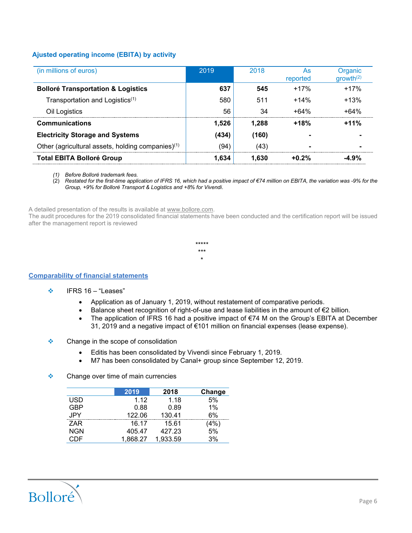#### **Ajusted operating income (EBITA) by activity**

| (in millions of euros)                                        | 2019  | 2018  | As<br>reported | Organic<br>growth <sup>(2)</sup> |
|---------------------------------------------------------------|-------|-------|----------------|----------------------------------|
| <b>Bolloré Transportation &amp; Logistics</b>                 | 637   | 545   | $+17%$         | $+17%$                           |
| Transportation and Logistics <sup>(1)</sup>                   | 580   | 511   | $+14%$         | $+13%$                           |
| Oil Logistics                                                 | 56    | 34    | +64%           | $+64%$                           |
| <b>Communications</b>                                         | 1.526 | 1.288 | $+18%$         | $+11%$                           |
| <b>Electricity Storage and Systems</b>                        | (434) | (160) |                |                                  |
| Other (agricultural assets, holding companies) <sup>(1)</sup> | (94)  | (43)  |                |                                  |
| <b>Total EBITA Bolloré Group</b>                              | 1.634 | 1.630 | +0.2%          | -4.9%                            |

*(1) Before Bolloré trademark fees.*

(2) *Restated for the first-time application of IFRS 16, which had a positive impact of €74 million on EBITA, the variation was -9% for the Group, +9% for Bolloré Transport & Logistics and +8% for Vivendi*.

A detailed presentation of the results is available [at www.bollore.com.](http://www.bollore.com/)

The audit procedures for the 2019 consolidated financial statements have been conducted and the certification report will be issued after the management report is reviewed

> \*\*\*\*\* \*\*\* \*

#### **Comparability of financial statements**

- $\div$  IFRS 16 "Leases"
	- Application as of January 1, 2019, without restatement of comparative periods.
	- Balance sheet recognition of right-of-use and lease liabilities in the amount of €2 billion.
	- The application of IFRS 16 had a positive impact of €74 M on the Group's EBITA at December 31, 2019 and a negative impact of €101 million on financial expenses (lease expense).
- ❖ Change in the scope of consolidation
	- Editis has been consolidated by Vivendi since February 1, 2019.
	- M7 has been consolidated by Canal+ group since September 12, 2019.
- $\triangle$  Change over time of main currencies

|            | 2019     | 2018     | Change |
|------------|----------|----------|--------|
| <b>USD</b> | 1.12     | 1.18     | 5%     |
| <b>GBP</b> | 0.88     | 0.89     | $1\%$  |
| <b>JPY</b> | 122.06   | 130.41   | 6%     |
| ZAR        | 16.17    | 15.61    | (4%)   |
| <b>NGN</b> | 405.47   | 427.23   | 5%     |
| CDE        | 1,868.27 | 1,933.59 | 3%     |